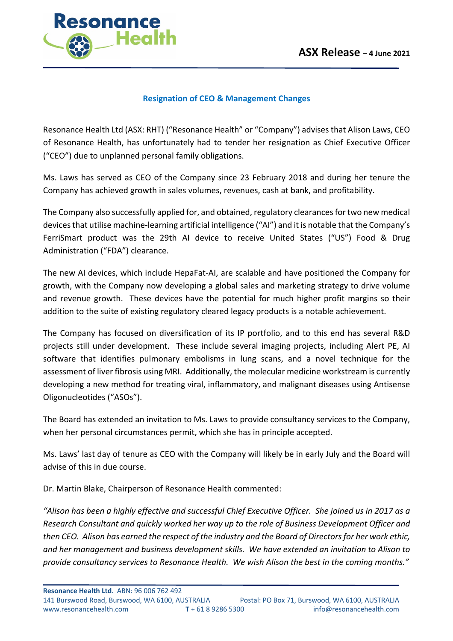

## **Resignation of CEO & Management Changes**

Resonance Health Ltd (ASX: RHT) ("Resonance Health" or "Company") advises that Alison Laws, CEO of Resonance Health, has unfortunately had to tender her resignation as Chief Executive Officer ("CEO") due to unplanned personal family obligations.

Ms. Laws has served as CEO of the Company since 23 February 2018 and during her tenure the Company has achieved growth in sales volumes, revenues, cash at bank, and profitability.

The Company also successfully applied for, and obtained, regulatory clearances for two new medical devices that utilise machine-learning artificial intelligence ("AI") and it is notable that the Company's FerriSmart product was the 29th AI device to receive United States ("US") Food & Drug Administration ("FDA") clearance.

The new AI devices, which include HepaFat-AI, are scalable and have positioned the Company for growth, with the Company now developing a global sales and marketing strategy to drive volume and revenue growth. These devices have the potential for much higher profit margins so their addition to the suite of existing regulatory cleared legacy products is a notable achievement.

The Company has focused on diversification of its IP portfolio, and to this end has several R&D projects still under development. These include several imaging projects, including Alert PE, AI software that identifies pulmonary embolisms in lung scans, and a novel technique for the assessment of liver fibrosis using MRI. Additionally, the molecular medicine workstream is currently developing a new method for treating viral, inflammatory, and malignant diseases using Antisense Oligonucleotides ("ASOs").

The Board has extended an invitation to Ms. Laws to provide consultancy services to the Company, when her personal circumstances permit, which she has in principle accepted.

Ms. Laws' last day of tenure as CEO with the Company will likely be in early July and the Board will advise of this in due course.

Dr. Martin Blake, Chairperson of Resonance Health commented:

*"Alison has been a highly effective and successful Chief Executive Officer. She joined us in 2017 as a Research Consultant and quickly worked her way up to the role of Business Development Officer and then CEO. Alison has earned the respect of the industry and the Board of Directors for her work ethic, and her management and business development skills. We have extended an invitation to Alison to provide consultancy services to Resonance Health. We wish Alison the best in the coming months."*